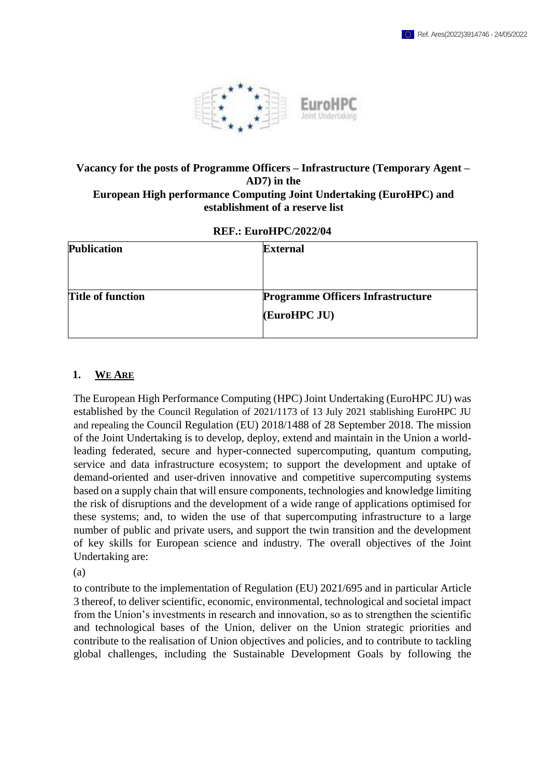

#### **Vacancy for the posts of Programme Officers – Infrastructure (Temporary Agent – AD7) in the European High performance Computing Joint Undertaking (EuroHPC) and establishment of a reserve list**

#### **REF.: EuroHPC/2022/04**

| <b>Publication</b>       | <b>External</b>                          |
|--------------------------|------------------------------------------|
|                          |                                          |
|                          |                                          |
| <b>Title of function</b> | <b>Programme Officers Infrastructure</b> |
|                          | (EuroHPC JU)                             |
|                          |                                          |

#### **1. WE ARE**

The European High Performance Computing (HPC) Joint Undertaking (EuroHPC JU) was established by the Council Regulation of 2021/1173 of 13 July 2021 stablishing EuroHPC JU and repealing the Council Regulation (EU) 2018/1488 of 28 September 2018. The mission of the Joint Undertaking is to develop, deploy, extend and maintain in the Union a worldleading federated, secure and hyper-connected supercomputing, quantum computing, service and data infrastructure ecosystem; to support the development and uptake of demand-oriented and user-driven innovative and competitive supercomputing systems based on a supply chain that will ensure components, technologies and knowledge limiting the risk of disruptions and the development of a wide range of applications optimised for these systems; and, to widen the use of that supercomputing infrastructure to a large number of public and private users, and support the twin transition and the development of key skills for European science and industry. The overall objectives of the Joint Undertaking are:

(a)

to contribute to the implementation of Regulation (EU) 2021/695 and in particular Article 3 thereof, to deliver scientific, economic, environmental, technological and societal impact from the Union's investments in research and innovation, so as to strengthen the scientific and technological bases of the Union, deliver on the Union strategic priorities and contribute to the realisation of Union objectives and policies, and to contribute to tackling global challenges, including the Sustainable Development Goals by following the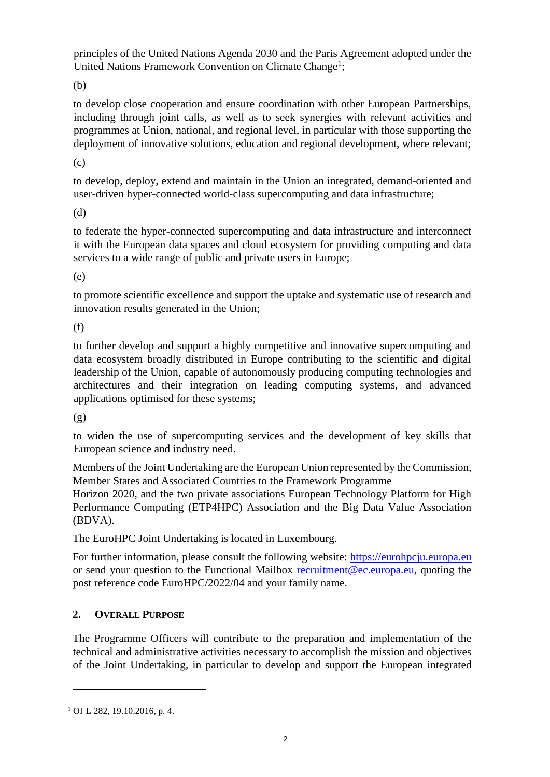principles of the United Nations Agenda 2030 and the Paris Agreement adopted under the United Nations Framework Convention on Climate Change<sup>1</sup>;

(b)

to develop close cooperation and ensure coordination with other European Partnerships, including through joint calls, as well as to seek synergies with relevant activities and programmes at Union, national, and regional level, in particular with those supporting the deployment of innovative solutions, education and regional development, where relevant;

(c)

to develop, deploy, extend and maintain in the Union an integrated, demand-oriented and user-driven hyper-connected world-class supercomputing and data infrastructure;

(d)

to federate the hyper-connected supercomputing and data infrastructure and interconnect it with the European data spaces and cloud ecosystem for providing computing and data services to a wide range of public and private users in Europe;

(e)

to promote scientific excellence and support the uptake and systematic use of research and innovation results generated in the Union;

(f)

to further develop and support a highly competitive and innovative supercomputing and data ecosystem broadly distributed in Europe contributing to the scientific and digital leadership of the Union, capable of autonomously producing computing technologies and architectures and their integration on leading computing systems, and advanced applications optimised for these systems;

(g)

to widen the use of supercomputing services and the development of key skills that European science and industry need.

Members of the Joint Undertaking are the European Union represented by the Commission, Member States and Associated Countries to the Framework Programme

Horizon 2020, and the two private associations European Technology Platform for High Performance Computing (ETP4HPC) Association and the Big Data Value Association (BDVA).

The EuroHPC Joint Undertaking is located in Luxembourg.

For further information, please consult the following website: [https://eurohpcju.europa.eu](https://eurohpc-ju.europa.eu/) or send your question to the Functional Mailbox recruitment@ec.europa.eu, quoting the post reference code EuroHPC/2022/04 and your family name.

# **2. OVERALL PURPOSE**

The Programme Officers will contribute to the preparation and implementation of the technical and administrative activities necessary to accomplish the mission and objectives of the Joint Undertaking, in particular to develop and support the European integrated

<sup>1</sup> OJ L 282, 19.10.2016, p. 4.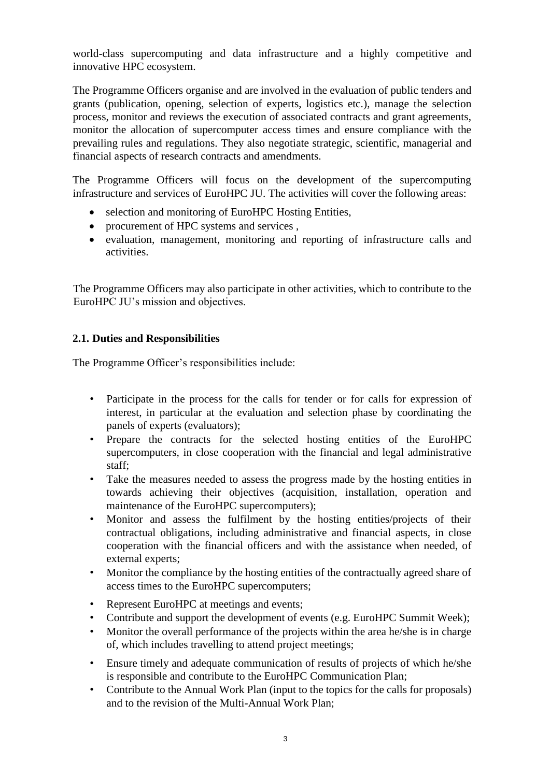world-class supercomputing and data infrastructure and a highly competitive and innovative HPC ecosystem.

The Programme Officers organise and are involved in the evaluation of public tenders and grants (publication, opening, selection of experts, logistics etc.), manage the selection process, monitor and reviews the execution of associated contracts and grant agreements, monitor the allocation of supercomputer access times and ensure compliance with the prevailing rules and regulations. They also negotiate strategic, scientific, managerial and financial aspects of research contracts and amendments.

The Programme Officers will focus on the development of the supercomputing infrastructure and services of EuroHPC JU. The activities will cover the following areas:

- selection and monitoring of EuroHPC Hosting Entities,
- procurement of HPC systems and services ,
- evaluation, management, monitoring and reporting of infrastructure calls and activities.

The Programme Officers may also participate in other activities, which to contribute to the EuroHPC JU's mission and objectives.

## **2.1. Duties and Responsibilities**

The Programme Officer's responsibilities include:

- Participate in the process for the calls for tender or for calls for expression of interest, in particular at the evaluation and selection phase by coordinating the panels of experts (evaluators);
- Prepare the contracts for the selected hosting entities of the EuroHPC supercomputers, in close cooperation with the financial and legal administrative staff;
- Take the measures needed to assess the progress made by the hosting entities in towards achieving their objectives (acquisition, installation, operation and maintenance of the EuroHPC supercomputers);
- Monitor and assess the fulfilment by the hosting entities/projects of their contractual obligations, including administrative and financial aspects, in close cooperation with the financial officers and with the assistance when needed, of external experts;
- Monitor the compliance by the hosting entities of the contractually agreed share of access times to the EuroHPC supercomputers;
- Represent EuroHPC at meetings and events;
- Contribute and support the development of events (e.g. EuroHPC Summit Week);
- Monitor the overall performance of the projects within the area he/she is in charge of, which includes travelling to attend project meetings;
- Ensure timely and adequate communication of results of projects of which he/she is responsible and contribute to the EuroHPC Communication Plan;
- Contribute to the Annual Work Plan (input to the topics for the calls for proposals) and to the revision of the Multi-Annual Work Plan;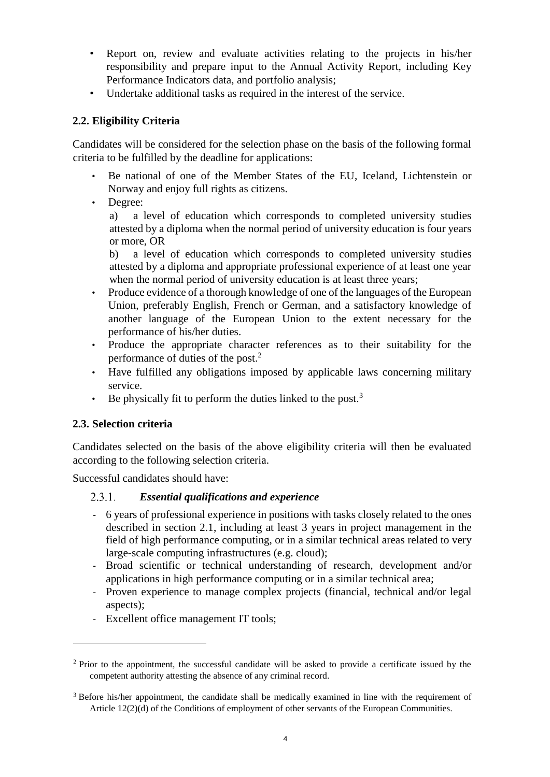- Report on, review and evaluate activities relating to the projects in his/her responsibility and prepare input to the Annual Activity Report, including Key Performance Indicators data, and portfolio analysis;
- Undertake additional tasks as required in the interest of the service.

## **2.2. Eligibility Criteria**

Candidates will be considered for the selection phase on the basis of the following formal criteria to be fulfilled by the deadline for applications:

- Be national of one of the Member States of the EU, Iceland, Lichtenstein or Norway and enjoy full rights as citizens.
- Degree:

a) a level of education which corresponds to completed university studies attested by a diploma when the normal period of university education is four years or more, OR

b) a level of education which corresponds to completed university studies attested by a diploma and appropriate professional experience of at least one year when the normal period of university education is at least three years;

- Produce evidence of a thorough knowledge of one of the languages of the European Union, preferably English, French or German, and a satisfactory knowledge of another language of the European Union to the extent necessary for the performance of his/her duties.
- Produce the appropriate character references as to their suitability for the performance of duties of the post.<sup>2</sup>
- Have fulfilled any obligations imposed by applicable laws concerning military service.
- Be physically fit to perform the duties linked to the post.<sup>3</sup>

### **2.3. Selection criteria**

 $\overline{a}$ 

Candidates selected on the basis of the above eligibility criteria will then be evaluated according to the following selection criteria.

Successful candidates should have:

#### $2.3.1.$ *Essential qualifications and experience*

- 6 years of professional experience in positions with tasks closely related to the ones described in section 2.1, including at least 3 years in project management in the field of high performance computing, or in a similar technical areas related to very large-scale computing infrastructures (e.g. cloud);
- Broad scientific or technical understanding of research, development and/or applications in high performance computing or in a similar technical area;
- Proven experience to manage complex projects (financial, technical and/or legal aspects);
- Excellent office management IT tools;

<sup>&</sup>lt;sup>2</sup> Prior to the appointment, the successful candidate will be asked to provide a certificate issued by the competent authority attesting the absence of any criminal record.

<sup>&</sup>lt;sup>3</sup> Before his/her appointment, the candidate shall be medically examined in line with the requirement of Article 12(2)(d) of the Conditions of employment of other servants of the European Communities.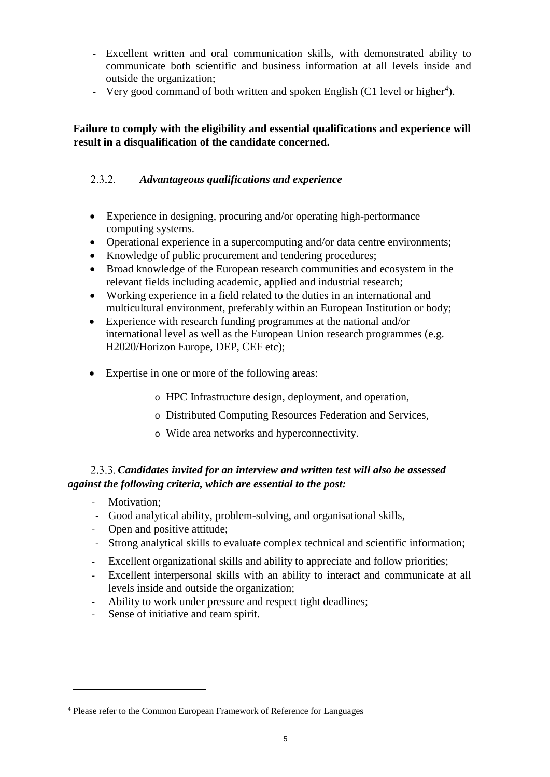- Excellent written and oral communication skills, with demonstrated ability to communicate both scientific and business information at all levels inside and outside the organization;
- Very good command of both written and spoken English (C1 level or higher<sup>4</sup>).

## **Failure to comply with the eligibility and essential qualifications and experience will result in a disqualification of the candidate concerned.**

#### $2.3.2.$ *Advantageous qualifications and experience*

- Experience in designing, procuring and/or operating high-performance computing systems.
- Operational experience in a supercomputing and/or data centre environments;
- Knowledge of public procurement and tendering procedures;
- Broad knowledge of the European research communities and ecosystem in the relevant fields including academic, applied and industrial research;
- Working experience in a field related to the duties in an international and multicultural environment, preferably within an European Institution or body;
- Experience with research funding programmes at the national and/or international level as well as the European Union research programmes (e.g. H2020/Horizon Europe, DEP, CEF etc);
- Expertise in one or more of the following areas:
	- o HPC Infrastructure design, deployment, and operation,
	- o Distributed Computing Resources Federation and Services,
	- o Wide area networks and hyperconnectivity.

## *Candidates invited for an interview and written test will also be assessed against the following criteria, which are essential to the post:*

- Motivation;

- Good analytical ability, problem-solving, and organisational skills,
- Open and positive attitude;
- Strong analytical skills to evaluate complex technical and scientific information;
- Excellent organizational skills and ability to appreciate and follow priorities;
- Excellent interpersonal skills with an ability to interact and communicate at all levels inside and outside the organization;
- Ability to work under pressure and respect tight deadlines;
- Sense of initiative and team spirit.

<sup>4</sup> Please refer to the Common European Framework of Reference for Languages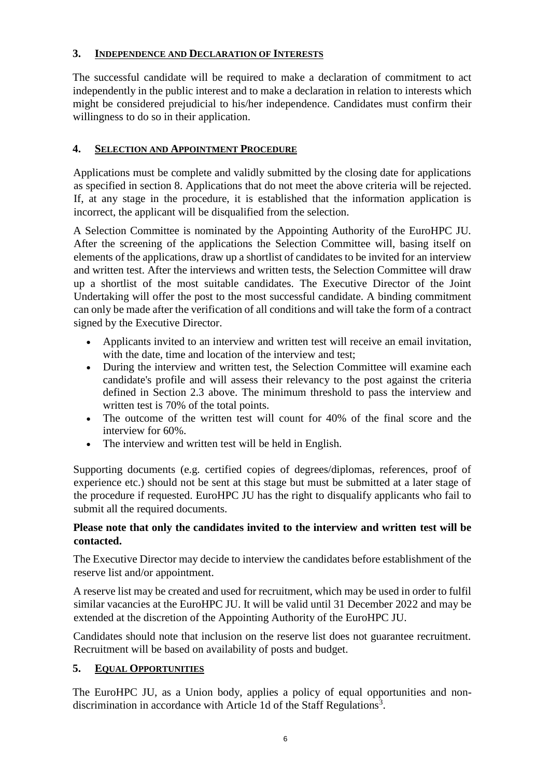## **3. INDEPENDENCE AND DECLARATION OF INTERESTS**

The successful candidate will be required to make a declaration of commitment to act independently in the public interest and to make a declaration in relation to interests which might be considered prejudicial to his/her independence. Candidates must confirm their willingness to do so in their application.

## **4. SELECTION AND APPOINTMENT PROCEDURE**

Applications must be complete and validly submitted by the closing date for applications as specified in section 8. Applications that do not meet the above criteria will be rejected. If, at any stage in the procedure, it is established that the information application is incorrect, the applicant will be disqualified from the selection.

A Selection Committee is nominated by the Appointing Authority of the EuroHPC JU. After the screening of the applications the Selection Committee will, basing itself on elements of the applications, draw up a shortlist of candidates to be invited for an interview and written test. After the interviews and written tests, the Selection Committee will draw up a shortlist of the most suitable candidates. The Executive Director of the Joint Undertaking will offer the post to the most successful candidate. A binding commitment can only be made after the verification of all conditions and will take the form of a contract signed by the Executive Director.

- Applicants invited to an interview and written test will receive an email invitation, with the date, time and location of the interview and test:
- During the interview and written test, the Selection Committee will examine each candidate's profile and will assess their relevancy to the post against the criteria defined in Section 2.3 above. The minimum threshold to pass the interview and written test is 70% of the total points.
- The outcome of the written test will count for 40% of the final score and the interview for 60%.
- The interview and written test will be held in English.

Supporting documents (e.g. certified copies of degrees/diplomas, references, proof of experience etc.) should not be sent at this stage but must be submitted at a later stage of the procedure if requested. EuroHPC JU has the right to disqualify applicants who fail to submit all the required documents.

### **Please note that only the candidates invited to the interview and written test will be contacted.**

The Executive Director may decide to interview the candidates before establishment of the reserve list and/or appointment.

A reserve list may be created and used for recruitment, which may be used in order to fulfil similar vacancies at the EuroHPC JU. It will be valid until 31 December 2022 and may be extended at the discretion of the Appointing Authority of the EuroHPC JU.

Candidates should note that inclusion on the reserve list does not guarantee recruitment. Recruitment will be based on availability of posts and budget.

### **5. EQUAL OPPORTUNITIES**

The EuroHPC JU, as a Union body, applies a policy of equal opportunities and nondiscrimination in accordance with Article 1d of the Staff Regulations<sup>3</sup>.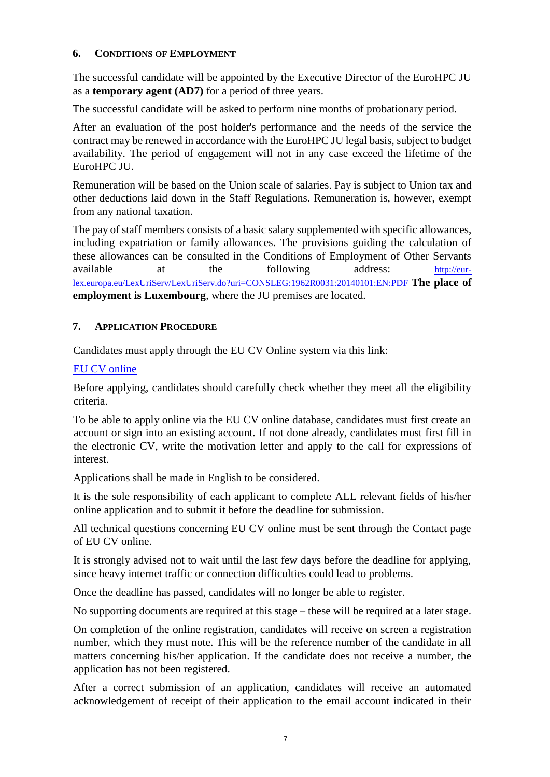### **6. CONDITIONS OF EMPLOYMENT**

The successful candidate will be appointed by the Executive Director of the EuroHPC JU as a **temporary agent (AD7)** for a period of three years.

The successful candidate will be asked to perform nine months of probationary period.

After an evaluation of the post holder's performance and the needs of the service the contract may be renewed in accordance with the EuroHPC JU legal basis, subject to budget availability. The period of engagement will not in any case exceed the lifetime of the EuroHPC JU.

Remuneration will be based on the Union scale of salaries. Pay is subject to Union tax and other deductions laid down in the Staff Regulations. Remuneration is, however, exempt from any national taxation.

The pay of staff members consists of a basic salary supplemented with specific allowances, including expatriation or family allowances. The provisions guiding the calculation of these allowances can be consulted in the Conditions of Employment of Other Servants available at the following address: [http://eur](http://eur-lex.europa.eu/LexUriServ/LexUriServ.do?uri=CONSLEG:1962R0031:20140101:EN:PDF)[lex.europa.eu/LexUriServ/LexUriServ.do?uri=CONSLEG:1962R0031:20140101:EN:PDF](http://eur-lex.europa.eu/LexUriServ/LexUriServ.do?uri=CONSLEG:1962R0031:20140101:EN:PDF) **[T](http://eur-lex.europa.eu/LexUriServ/LexUriServ.do?uri=CONSLEG:1962R0031:20140101:EN:PDF)he place of employment is Luxembourg**, where the JU premises are located.

## **7. APPLICATION PROCEDURE**

Candidates must apply through the EU CV Online system via this link:

## [EU CV online](https://ec.europa.eu/dgs/personnel_administration/open_applications/CV_Cand/index.cfm?fuseaction=premierAcces&langue=EN)

Before applying, candidates should carefully check whether they meet all the eligibility criteria.

To be able to apply online via the EU CV online database, candidates must first create an account or sign into an existing account. If not done already, candidates must first fill in the electronic CV, write the motivation letter and apply to the call for expressions of interest.

Applications shall be made in English to be considered.

It is the sole responsibility of each applicant to complete ALL relevant fields of his/her online application and to submit it before the deadline for submission.

All technical questions concerning EU CV online must be sent through the Contact page of EU CV online.

It is strongly advised not to wait until the last few days before the deadline for applying, since heavy internet traffic or connection difficulties could lead to problems.

Once the deadline has passed, candidates will no longer be able to register.

No supporting documents are required at this stage – these will be required at a later stage.

On completion of the online registration, candidates will receive on screen a registration number, which they must note. This will be the reference number of the candidate in all matters concerning his/her application. If the candidate does not receive a number, the application has not been registered.

After a correct submission of an application, candidates will receive an automated acknowledgement of receipt of their application to the email account indicated in their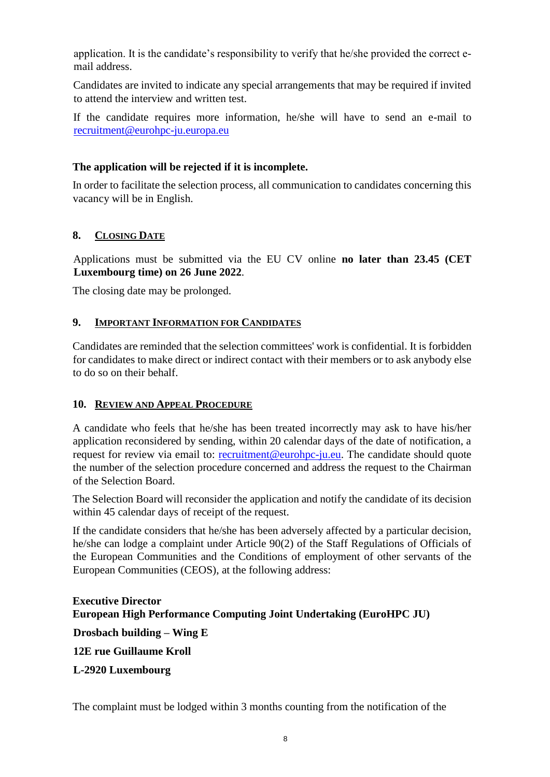application. It is the candidate's responsibility to verify that he/she provided the correct email address.

Candidates are invited to indicate any special arrangements that may be required if invited to attend the interview and written test.

If the candidate requires more information, he/she will have to send an e-mail to [recruitment@eurohpc-ju.europa.eu](mailto:recruitment@eurohpc-ju.europa.eu)

## **The application will be rejected if it is incomplete.**

In order to facilitate the selection process, all communication to candidates concerning this vacancy will be in English.

## **8. CLOSING DATE**

Applications must be submitted via the EU CV online **no later than 23.45 (CET Luxembourg time) on 26 June 2022**.

The closing date may be prolonged.

## **9. IMPORTANT INFORMATION FOR CANDIDATES**

Candidates are reminded that the selection committees' work is confidential. It is forbidden for candidates to make direct or indirect contact with their members or to ask anybody else to do so on their behalf.

## **10. REVIEW AND APPEAL PROCEDURE**

A candidate who feels that he/she has been treated incorrectly may ask to have his/her application reconsidered by sending, within 20 calendar days of the date of notification, a request for review via email to: recruitment@eurohpc-ju.eu. The candidate should quote the number of the selection procedure concerned and address the request to the Chairman of the Selection Board.

The Selection Board will reconsider the application and notify the candidate of its decision within 45 calendar days of receipt of the request.

If the candidate considers that he/she has been adversely affected by a particular decision, he/she can lodge a complaint under Article 90(2) of the Staff Regulations of Officials of the European Communities and the Conditions of employment of other servants of the European Communities (CEOS), at the following address:

## **Executive Director European High Performance Computing Joint Undertaking (EuroHPC JU)**

**Drosbach building – Wing E**

**12E rue Guillaume Kroll**

## **L-2920 Luxembourg**

The complaint must be lodged within 3 months counting from the notification of the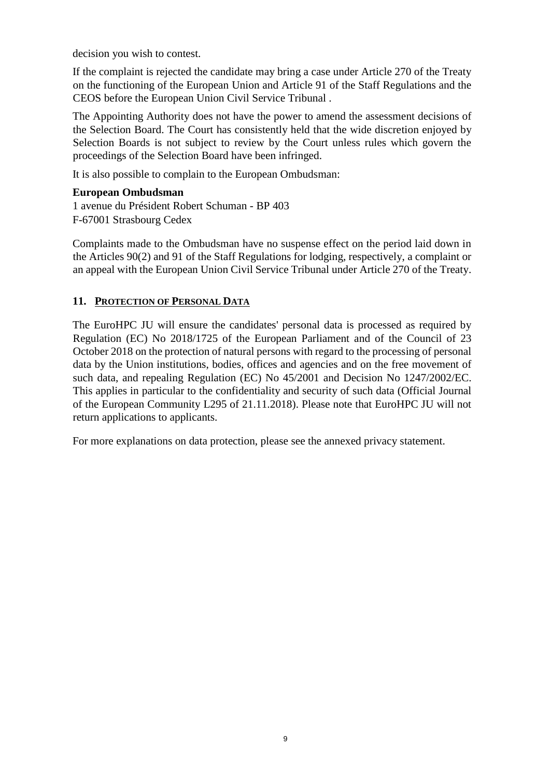decision you wish to contest.

If the complaint is rejected the candidate may bring a case under Article 270 of the Treaty on the functioning of the European Union and Article 91 of the Staff Regulations and the CEOS before the European Union Civil Service Tribunal .

The Appointing Authority does not have the power to amend the assessment decisions of the Selection Board. The Court has consistently held that the wide discretion enjoyed by Selection Boards is not subject to review by the Court unless rules which govern the proceedings of the Selection Board have been infringed.

It is also possible to complain to the European Ombudsman:

#### **European Ombudsman**

1 avenue du Président Robert Schuman - BP 403 F-67001 Strasbourg Cedex

Complaints made to the Ombudsman have no suspense effect on the period laid down in the Articles 90(2) and 91 of the Staff Regulations for lodging, respectively, a complaint or an appeal with the European Union Civil Service Tribunal under Article 270 of the Treaty.

### **11. PROTECTION OF PERSONAL DATA**

The EuroHPC JU will ensure the candidates' personal data is processed as required by Regulation (EC) No 2018/1725 of the European Parliament and of the Council of 23 October 2018 on the protection of natural persons with regard to the processing of personal data by the Union institutions, bodies, offices and agencies and on the free movement of such data, and repealing Regulation (EC) No 45/2001 and Decision No 1247/2002/EC. This applies in particular to the confidentiality and security of such data (Official Journal of the European Community L295 of 21.11.2018). Please note that EuroHPC JU will not return applications to applicants.

For more explanations on data protection, please see the annexed privacy statement.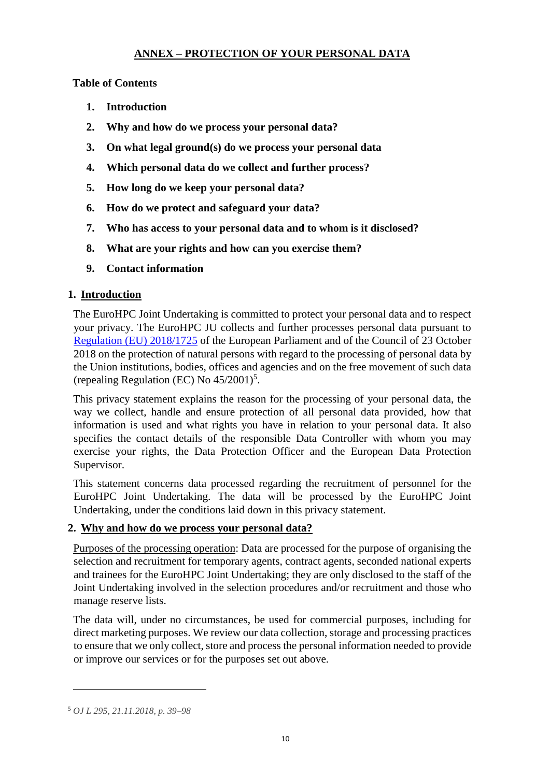## **ANNEX – PROTECTION OF YOUR PERSONAL DATA**

**Table of Contents** 

- **1. Introduction**
- **2. Why and how do we process your personal data?**
- **3. On what legal ground(s) do we process your personal data**
- **4. Which personal data do we collect and further process?**
- **5. How long do we keep your personal data?**
- **6. How do we protect and safeguard your data?**
- **7. Who has access to your personal data and to whom is it disclosed?**
- **8. What are your rights and how can you exercise them?**
- **9. Contact information**

## **1. Introduction**

The EuroHPC Joint Undertaking is committed to protect your personal data and to respect your privacy. The EuroHPC JU collects and further processes personal data pursuant to [Regulation \(EU\) 2018/1725](https://eur-lex.europa.eu/legal-content/EN/TXT/?uri=uriserv:OJ.L_.2018.295.01.0039.01.ENG&toc=OJ:L:2018:295:TOC) of the European Parliament and of the Council of 23 October 2018 on the protection of natural persons with regard to the processing of personal data by the Union institutions, bodies, offices and agencies and on the free movement of such data (repealing Regulation (EC) No  $45/2001$ <sup>5</sup>.

This privacy statement explains the reason for the processing of your personal data, the way we collect, handle and ensure protection of all personal data provided, how that information is used and what rights you have in relation to your personal data. It also specifies the contact details of the responsible Data Controller with whom you may exercise your rights, the Data Protection Officer and the European Data Protection Supervisor.

This statement concerns data processed regarding the recruitment of personnel for the EuroHPC Joint Undertaking. The data will be processed by the EuroHPC Joint Undertaking, under the conditions laid down in this privacy statement.

### **2. Why and how do we process your personal data?**

Purposes of the processing operation: Data are processed for the purpose of organising the selection and recruitment for temporary agents, contract agents, seconded national experts and trainees for the EuroHPC Joint Undertaking; they are only disclosed to the staff of the Joint Undertaking involved in the selection procedures and/or recruitment and those who manage reserve lists.

The data will, under no circumstances, be used for commercial purposes, including for direct marketing purposes. We review our data collection, storage and processing practices to ensure that we only collect, store and process the personal information needed to provide or improve our services or for the purposes set out above.

<sup>5</sup> *OJ L 295, 21.11.2018, p. 39–98*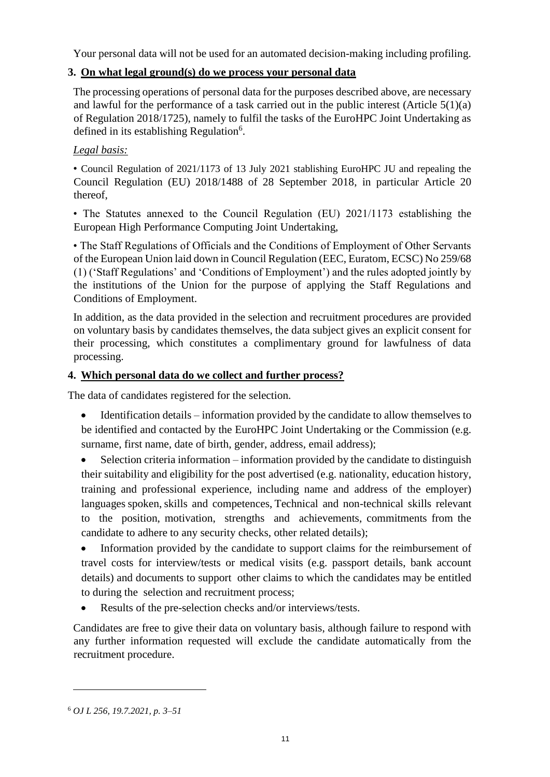Your personal data will not be used for an automated decision-making including profiling.

## **3. On what legal ground(s) do we process your personal data**

The processing operations of personal data for the purposes described above, are necessary and lawful for the performance of a task carried out in the public interest (Article  $5(1)(a)$ ) of Regulation 2018/1725), namely to fulfil the tasks of the EuroHPC Joint Undertaking as defined in its establishing Regulation<sup>6</sup>.

## *Legal basis:*

• Council Regulation of 2021/1173 of 13 July 2021 stablishing EuroHPC JU and repealing the Council Regulation (EU) 2018/1488 of 28 September 2018, in particular Article 20 thereof,

• The Statutes annexed to the Council Regulation (EU) 2021/1173 establishing the European High Performance Computing Joint Undertaking,

• The Staff Regulations of Officials and the Conditions of Employment of Other Servants of the European Union laid down in Council Regulation (EEC, Euratom, ECSC) No 259/68 (1) ('Staff Regulations' and 'Conditions of Employment') and the rules adopted jointly by the institutions of the Union for the purpose of applying the Staff Regulations and Conditions of Employment.

In addition, as the data provided in the selection and recruitment procedures are provided on voluntary basis by candidates themselves, the data subject gives an explicit consent for their processing, which constitutes a complimentary ground for lawfulness of data processing.

## **4. Which personal data do we collect and further process?**

The data of candidates registered for the selection.

- Identification details information provided by the candidate to allow themselves to be identified and contacted by the EuroHPC Joint Undertaking or the Commission (e.g. surname, first name, date of birth, gender, address, email address);
- Selection criteria information information provided by the candidate to distinguish their suitability and eligibility for the post advertised (e.g. nationality, education history, training and professional experience, including name and address of the employer) languages spoken, skills and competences, Technical and non-technical skills relevant to the position, motivation, strengths and achievements, commitments from the candidate to adhere to any security checks, other related details);

• Information provided by the candidate to support claims for the reimbursement of travel costs for interview/tests or medical visits (e.g. passport details, bank account details) and documents to support other claims to which the candidates may be entitled to during the selection and recruitment process;

Results of the pre-selection checks and/or interviews/tests.

Candidates are free to give their data on voluntary basis, although failure to respond with any further information requested will exclude the candidate automatically from the recruitment procedure.

<sup>6</sup> *OJ L 256, 19.7.2021, p. 3–51*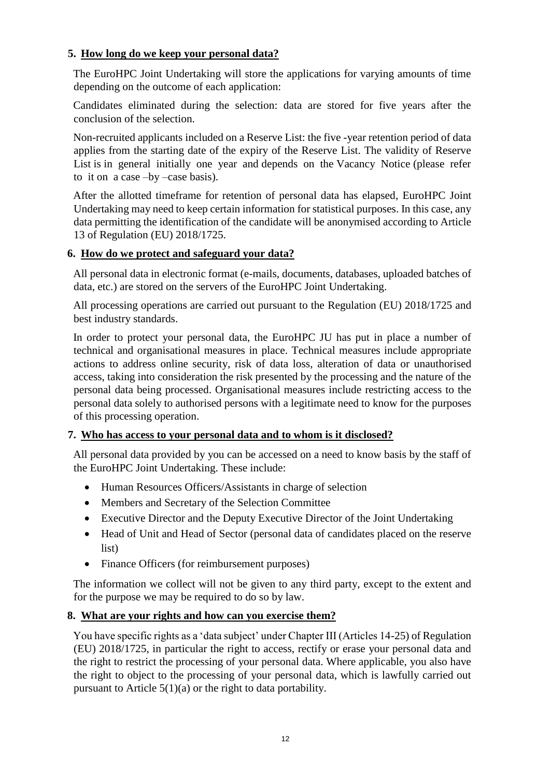## **5. How long do we keep your personal data?**

The EuroHPC Joint Undertaking will store the applications for varying amounts of time depending on the outcome of each application:

Candidates eliminated during the selection: data are stored for five years after the conclusion of the selection.

Non-recruited applicants included on a Reserve List: the five -year retention period of data applies from the starting date of the expiry of the Reserve List. The validity of Reserve List is in general initially one year and depends on the Vacancy Notice (please refer to it on a case –by –case basis).

After the allotted timeframe for retention of personal data has elapsed, EuroHPC Joint Undertaking may need to keep certain information for statistical purposes. In this case, any data permitting the identification of the candidate will be anonymised according to Article 13 of Regulation (EU) 2018/1725.

### **6. How do we protect and safeguard your data?**

All personal data in electronic format (e-mails, documents, databases, uploaded batches of data, etc.) are stored on the servers of the EuroHPC Joint Undertaking.

All processing operations are carried out pursuant to the Regulation (EU) 2018/1725 and best industry standards.

In order to protect your personal data, the EuroHPC JU has put in place a number of technical and organisational measures in place. Technical measures include appropriate actions to address online security, risk of data loss, alteration of data or unauthorised access, taking into consideration the risk presented by the processing and the nature of the personal data being processed. Organisational measures include restricting access to the personal data solely to authorised persons with a legitimate need to know for the purposes of this processing operation.

### **7. Who has access to your personal data and to whom is it disclosed?**

All personal data provided by you can be accessed on a need to know basis by the staff of the EuroHPC Joint Undertaking. These include:

- Human Resources Officers/Assistants in charge of selection
- Members and Secretary of the Selection Committee
- Executive Director and the Deputy Executive Director of the Joint Undertaking
- Head of Unit and Head of Sector (personal data of candidates placed on the reserve list)
- Finance Officers (for reimbursement purposes)

The information we collect will not be given to any third party, except to the extent and for the purpose we may be required to do so by law.

### **8. What are your rights and how can you exercise them?**

You have specific rights as a 'data subject' under Chapter III (Articles 14-25) of Regulation (EU) 2018/1725, in particular the right to access, rectify or erase your personal data and the right to restrict the processing of your personal data. Where applicable, you also have the right to object to the processing of your personal data, which is lawfully carried out pursuant to Article 5(1)(a) or the right to data portability.